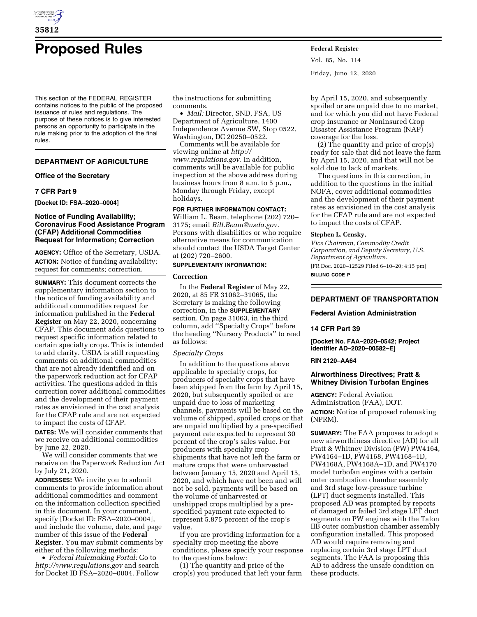

# **Proposed Rules Federal Register**

This section of the FEDERAL REGISTER contains notices to the public of the proposed issuance of rules and regulations. The purpose of these notices is to give interested persons an opportunity to participate in the rule making prior to the adoption of the final rules.

# **DEPARTMENT OF AGRICULTURE**

## **Office of the Secretary**

## **7 CFR Part 9**

**[Docket ID: FSA–2020–0004]** 

# **Notice of Funding Availability; Coronavirus Food Assistance Program (CFAP) Additional Commodities Request for Information; Correction**

**AGENCY:** Office of the Secretary, USDA. **ACTION:** Notice of funding availability; request for comments; correction.

**SUMMARY:** This document corrects the supplementary information section to the notice of funding availability and additional commodities request for information published in the **Federal Register** on May 22, 2020, concerning CFAP. This document adds questions to request specific information related to certain specialty crops. This is intended to add clarity. USDA is still requesting comments on additional commodities that are not already identified and on the paperwork reduction act for CFAP activities. The questions added in this correction cover additional commodities and the development of their payment rates as envisioned in the cost analysis for the CFAP rule and are not expected to impact the costs of CFAP.

**DATES:** We will consider comments that we receive on additional commodities by June 22, 2020.

We will consider comments that we receive on the Paperwork Reduction Act by July 21, 2020.

**ADDRESSES:** We invite you to submit comments to provide information about additional commodities and comment on the information collection specified in this document. In your comment, specify [Docket ID: FSA–2020–0004], and include the volume, date, and page number of this issue of the **Federal Register**. You may submit comments by either of the following methods:

• *Federal Rulemaking Portal:* Go to *<http://www.regulations.gov>* and search for Docket ID FSA–2020–0004. Follow

the instructions for submitting comments.

• *Mail:* Director, SND, FSA, US Department of Agriculture, 1400 Independence Avenue SW, Stop 0522, Washington, DC 20250–0522.

Comments will be available for viewing online at *[http://](http://www.regulations.gov) [www.regulations.gov.](http://www.regulations.gov)* In addition, comments will be available for public inspection at the above address during business hours from 8 a.m. to 5 p.m., Monday through Friday, except holidays.

# **FOR FURTHER INFORMATION CONTACT:**

William L. Beam, telephone (202) 720– 3175; email *[Bill.Beam@usda.gov.](mailto:Bill.Beam@usda.gov)*  Persons with disabilities or who require alternative means for communication should contact the USDA Target Center at (202) 720–2600.

# **SUPPLEMENTARY INFORMATION:**

#### **Correction**

In the **Federal Register** of May 22, 2020, at 85 FR 31062–31065, the Secretary is making the following correction, in the **SUPPLEMENTARY** section. On page 31063, in the third column, add ''Specialty Crops'' before the heading ''Nursery Products'' to read as follows:

#### *Specialty Crops*

In addition to the questions above applicable to specialty crops, for producers of specialty crops that have been shipped from the farm by April 15, 2020, but subsequently spoiled or are unpaid due to loss of marketing channels, payments will be based on the volume of shipped, spoiled crops or that are unpaid multiplied by a pre-specified payment rate expected to represent 30 percent of the crop's sales value. For producers with specialty crop shipments that have not left the farm or mature crops that were unharvested between January 15, 2020 and April 15, 2020, and which have not been and will not be sold, payments will be based on the volume of unharvested or unshipped crops multiplied by a prespecified payment rate expected to represent 5.875 percent of the crop's value.

If you are providing information for a specialty crop meeting the above conditions, please specify your response to the questions below:

(1) The quantity and price of the crop(s) you produced that left your farm Vol. 85, No. 114 Friday, June 12, 2020

by April 15, 2020, and subsequently spoiled or are unpaid due to no market, and for which you did not have Federal crop insurance or Noninsured Crop Disaster Assistance Program (NAP) coverage for the loss.

(2) The quantity and price of crop(s) ready for sale that did not leave the farm by April 15, 2020, and that will not be sold due to lack of markets.

The questions in this correction, in addition to the questions in the initial NOFA, cover additional commodities and the development of their payment rates as envisioned in the cost analysis for the CFAP rule and are not expected to impact the costs of CFAP.

# **Stephen L. Censky,**

*Vice Chairman, Commodity Credit Corporation, and Deputy Secretary, U.S. Department of Agriculture.*  [FR Doc. 2020–12529 Filed 6–10–20; 4:15 pm] **BILLING CODE P** 

# **DEPARTMENT OF TRANSPORTATION**

# **Federal Aviation Administration**

## **14 CFR Part 39**

**[Docket No. FAA–2020–0542; Project Identifier AD–2020–00582–E]** 

### **RIN 2120–AA64**

# **Airworthiness Directives; Pratt & Whitney Division Turbofan Engines**

**AGENCY:** Federal Aviation Administration (FAA), DOT. **ACTION:** Notice of proposed rulemaking (NPRM).

**SUMMARY:** The FAA proposes to adopt a new airworthiness directive (AD) for all Pratt & Whitney Division (PW) PW4164, PW4164–1D, PW4168, PW4168–1D, PW4168A, PW4168A–1D, and PW4170 model turbofan engines with a certain outer combustion chamber assembly and 3rd stage low-pressure turbine (LPT) duct segments installed. This proposed AD was prompted by reports of damaged or failed 3rd stage LPT duct segments on PW engines with the Talon IIB outer combustion chamber assembly configuration installed. This proposed AD would require removing and replacing certain 3rd stage LPT duct segments. The FAA is proposing this AD to address the unsafe condition on these products.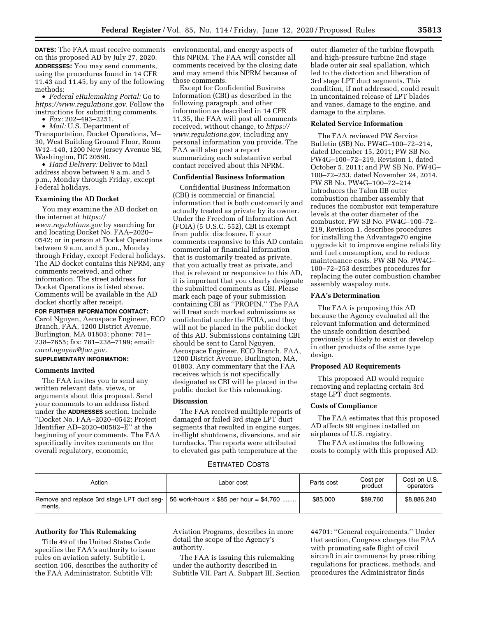**DATES:** The FAA must receive comments on this proposed AD by July 27, 2020. **ADDRESSES:** You may send comments, using the procedures found in 14 CFR 11.43 and 11.45, by any of the following methods:

• *Federal eRulemaking Portal:* Go to *[https://www.regulations.gov.](https://www.regulations.gov)* Follow the instructions for submitting comments. • *Fax:* 202–493–2251.

• *Mail:* U.S. Department of

Transportation, Docket Operations, M– 30, West Building Ground Floor, Room W12–140, 1200 New Jersey Avenue SE, Washington, DC 20590.

• *Hand Delivery:* Deliver to Mail address above between 9 a.m. and 5 p.m., Monday through Friday, except Federal holidays.

## **Examining the AD Docket**

You may examine the AD docket on the internet at *[https://](https://www.regulations.gov) [www.regulations.gov](https://www.regulations.gov)* by searching for and locating Docket No. FAA–2020– 0542; or in person at Docket Operations between 9 a.m. and 5 p.m., Monday through Friday, except Federal holidays. The AD docket contains this NPRM, any comments received, and other information. The street address for Docket Operations is listed above. Comments will be available in the AD docket shortly after receipt.

**FOR FURTHER INFORMATION CONTACT:** 

Carol Nguyen, Aerospace Engineer, ECO Branch, FAA, 1200 District Avenue, Burlington, MA 01803; phone: 781– 238–7655; fax: 781–238–7199; email: *[carol.nguyen@faa.gov.](mailto:carol.nguyen@faa.gov)* 

# **SUPPLEMENTARY INFORMATION:**

## **Comments Invited**

The FAA invites you to send any written relevant data, views, or arguments about this proposal. Send your comments to an address listed under the **ADDRESSES** section. Include ''Docket No. FAA–2020–0542; Project Identifier AD–2020–00582–E'' at the beginning of your comments. The FAA specifically invites comments on the overall regulatory, economic,

environmental, and energy aspects of this NPRM. The FAA will consider all comments received by the closing date and may amend this NPRM because of those comments.

Except for Confidential Business Information (CBI) as described in the following paragraph, and other information as described in 14 CFR 11.35, the FAA will post all comments received, without change, to *[https://](https://www.regulations.gov) [www.regulations.gov,](https://www.regulations.gov)* including any personal information you provide. The FAA will also post a report summarizing each substantive verbal contact received about this NPRM.

# **Confidential Business Information**

Confidential Business Information (CBI) is commercial or financial information that is both customarily and actually treated as private by its owner. Under the Freedom of Information Act (FOIA) (5 U.S.C. 552), CBI is exempt from public disclosure. If your comments responsive to this AD contain commercial or financial information that is customarily treated as private, that you actually treat as private, and that is relevant or responsive to this AD, it is important that you clearly designate the submitted comments as CBI. Please mark each page of your submission containing CBI as ''PROPIN.'' The FAA will treat such marked submissions as confidential under the FOIA, and they will not be placed in the public docket of this AD. Submissions containing CBI should be sent to Carol Nguyen, Aerospace Engineer, ECO Branch, FAA, 1200 District Avenue, Burlington, MA, 01803. Any commentary that the FAA receives which is not specifically designated as CBI will be placed in the public docket for this rulemaking.

# **Discussion**

The FAA received multiple reports of damaged or failed 3rd stage LPT duct segments that resulted in engine surges, in-flight shutdowns, diversions, and air turnbacks. The reports were attributed to elevated gas path temperature at the

outer diameter of the turbine flowpath and high-pressure turbine 2nd stage blade outer air seal spallation, which led to the distortion and liberation of 3rd stage LPT duct segments. This condition, if not addressed, could result in uncontained release of LPT blades and vanes, damage to the engine, and damage to the airplane.

### **Related Service Information**

The FAA reviewed PW Service Bulletin (SB) No. PW4G–100–72–214, dated December 15, 2011; PW SB No. PW4G–100–72–219, Revision 1, dated October 5, 2011; and PW SB No. PW4G– 100–72–253, dated November 24, 2014. PW SB No. PW4G–100–72–214 introduces the Talon IIB outer combustion chamber assembly that reduces the combustor exit temperature levels at the outer diameter of the combustor. PW SB No. PW4G–100–72– 219, Revision 1, describes procedures for installing the Advantage70 engine upgrade kit to improve engine reliability and fuel consumption, and to reduce maintenance costs. PW SB No. PW4G– 100–72–253 describes procedures for replacing the outer combustion chamber assembly waspaloy nuts.

# **FAA's Determination**

The FAA is proposing this AD because the Agency evaluated all the relevant information and determined the unsafe condition described previously is likely to exist or develop in other products of the same type design.

#### **Proposed AD Requirements**

This proposed AD would require removing and replacing certain 3rd stage LPT duct segments.

## **Costs of Compliance**

The FAA estimates that this proposed AD affects 99 engines installed on airplanes of U.S. registry.

The FAA estimates the following costs to comply with this proposed AD:

#### ESTIMATED COSTS

| Action | Labor cost                                                                                        | Parts cost | Cost per<br>product | Cost on U.S.<br>operators |
|--------|---------------------------------------------------------------------------------------------------|------------|---------------------|---------------------------|
| ments. | Remove and replace 3rd stage LPT duct seq- $\vert$ 56 work-hours $\times$ \$85 per hour = \$4,760 | \$85,000   | \$89,760            | \$8,886,240               |

## **Authority for This Rulemaking**

Title 49 of the United States Code specifies the FAA's authority to issue rules on aviation safety. Subtitle I, section 106, describes the authority of the FAA Administrator. Subtitle VII:

Aviation Programs, describes in more detail the scope of the Agency's authority.

The FAA is issuing this rulemaking under the authority described in Subtitle VII, Part A, Subpart III, Section 44701: ''General requirements.'' Under that section, Congress charges the FAA with promoting safe flight of civil aircraft in air commerce by prescribing regulations for practices, methods, and procedures the Administrator finds